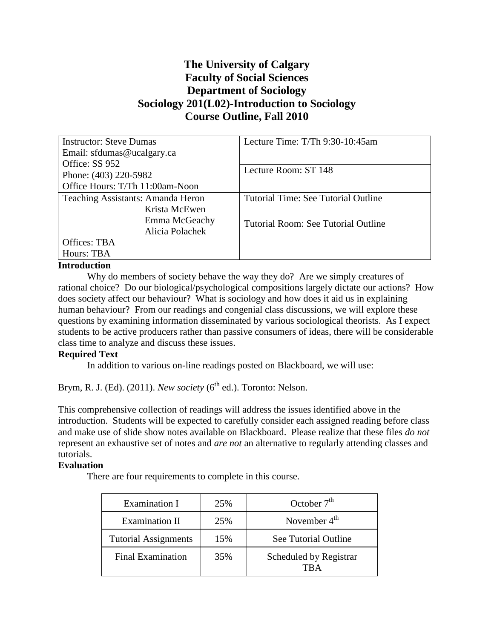# **The University of Calgary Faculty of Social Sciences Department of Sociology Sociology 201(L02)-Introduction to Sociology Course Outline, Fall 2010**

| <b>Instructor: Steve Dumas</b>    | Lecture Time: T/Th 9:30-10:45am     |
|-----------------------------------|-------------------------------------|
| Email: sfdumas@ucalgary.ca        |                                     |
| Office: SS 952                    | Lecture Room: ST 148                |
| Phone: (403) 220-5982             |                                     |
| Office Hours: T/Th 11:00am-Noon   |                                     |
| Teaching Assistants: Amanda Heron | Tutorial Time: See Tutorial Outline |
| Krista McEwen                     |                                     |
| Emma McGeachy                     | Tutorial Room: See Tutorial Outline |
| Alicia Polachek                   |                                     |
| Offices: TBA                      |                                     |
| Hours: TBA                        |                                     |

#### **Introduction**

Why do members of society behave the way they do? Are we simply creatures of rational choice? Do our biological/psychological compositions largely dictate our actions? How does society affect our behaviour? What is sociology and how does it aid us in explaining human behaviour? From our readings and congenial class discussions, we will explore these questions by examining information disseminated by various sociological theorists. As I expect students to be active producers rather than passive consumers of ideas, there will be considerable class time to analyze and discuss these issues.

## **Required Text**

In addition to various on-line readings posted on Blackboard, we will use:

Brym, R. J. (Ed). (2011). *New society* (6<sup>th</sup> ed.). Toronto: Nelson.

This comprehensive collection of readings will address the issues identified above in the introduction. Students will be expected to carefully consider each assigned reading before class and make use of slide show notes available on Blackboard. Please realize that these files *do not* represent an exhaustive set of notes and *are not* an alternative to regularly attending classes and tutorials.

## **Evaluation**

There are four requirements to complete in this course.

| <b>Examination I</b>        | 25% | October $7th$                  |
|-----------------------------|-----|--------------------------------|
| <b>Examination II</b>       | 25% | November $4th$                 |
| <b>Tutorial Assignments</b> | 15% | See Tutorial Outline           |
| <b>Final Examination</b>    | 35% | Scheduled by Registrar<br>TR A |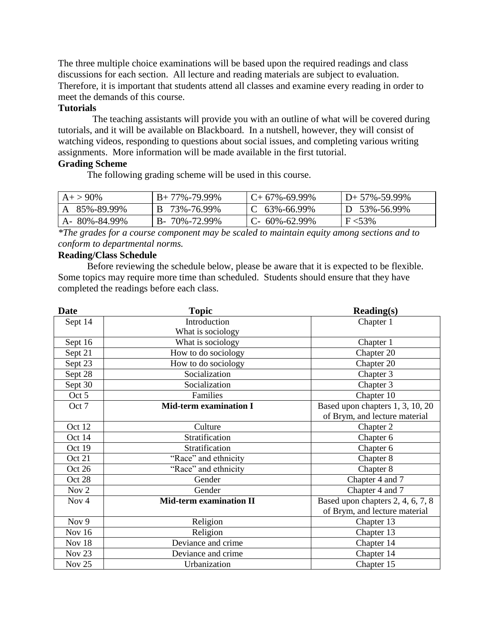The three multiple choice examinations will be based upon the required readings and class discussions for each section. All lecture and reading materials are subject to evaluation. Therefore, it is important that students attend all classes and examine every reading in order to meet the demands of this course.

#### **Tutorials**

The teaching assistants will provide you with an outline of what will be covered during tutorials, and it will be available on Blackboard. In a nutshell, however, they will consist of watching videos, responding to questions about social issues, and completing various writing assignments. More information will be made available in the first tutorial.

## **Grading Scheme**

The following grading scheme will be used in this course.

| $A+ > 90\%$  | $B+77\% -79.99\%$    | $C+67\% -69.99\%$ | $D+ 57\% - 59.99\%$ |
|--------------|----------------------|-------------------|---------------------|
| 85%-89.99%   | B 73%-76.99%         | $C$ 63%-66.99%    | $D$ 53%-56.99%      |
| A-80%-84.99% | $B - 70\% - 72.99\%$ | $C-60\% -62.99\%$ | $F < 53\%$          |

*\*The grades for a course component may be scaled to maintain equity among sections and to conform to departmental norms.*

## **Reading/Class Schedule**

Before reviewing the schedule below, please be aware that it is expected to be flexible. Some topics may require more time than scheduled. Students should ensure that they have completed the readings before each class.

| <b>Date</b>       | <b>Topic</b>                  | $\textbf{Reading}(s)$             |
|-------------------|-------------------------------|-----------------------------------|
| Sept 14           | Introduction                  | Chapter 1                         |
|                   | What is sociology             |                                   |
| Sept 16           | What is sociology             | Chapter 1                         |
| Sept 21           | How to do sociology           | Chapter 20                        |
| Sept 23           | How to do sociology           | Chapter 20                        |
| Sept 28           | Socialization                 | Chapter 3                         |
| Sept 30           | Socialization                 | Chapter 3                         |
| Oct 5             | Families                      | Chapter 10                        |
| Oct 7             | <b>Mid-term examination I</b> | Based upon chapters 1, 3, 10, 20  |
|                   |                               | of Brym, and lecture material     |
| Oct 12            | Culture                       | Chapter 2                         |
| Oct 14            | Stratification                | Chapter 6                         |
| Oct 19            | Stratification                | Chapter 6                         |
| Oct 21            | "Race" and ethnicity          | Chapter 8                         |
| Oct 26            | "Race" and ethnicity          | Chapter 8                         |
| Oct 28            | Gender                        | Chapter 4 and 7                   |
| Nov <sub>2</sub>  | Gender                        | Chapter 4 and 7                   |
| Nov <sub>4</sub>  | Mid-term examination II       | Based upon chapters 2, 4, 6, 7, 8 |
|                   |                               | of Brym, and lecture material     |
| Nov 9             | Religion                      | Chapter 13                        |
| Nov 16            | Religion                      | Chapter 13                        |
| Nov 18            | Deviance and crime            | Chapter 14                        |
| Nov <sub>23</sub> | Deviance and crime            | Chapter 14                        |
| Nov 25            | Urbanization                  | Chapter 15                        |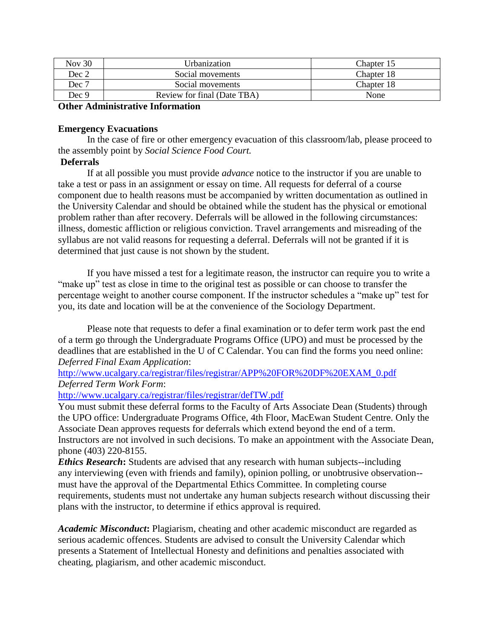| <b>Nov 30</b> | Urbanization                | Chapter 15 |
|---------------|-----------------------------|------------|
| Dec 2         | Social movements            | Chapter 18 |
| Dec 7         | Social movements            | Chapter 18 |
| Dec 9         | Review for final (Date TBA) | None       |

#### **Other Administrative Information**

#### **Emergency Evacuations**

In the case of fire or other emergency evacuation of this classroom/lab, please proceed to the assembly point by *Social Science Food Court.*

## **Deferrals**

If at all possible you must provide *advance* notice to the instructor if you are unable to take a test or pass in an assignment or essay on time. All requests for deferral of a course component due to health reasons must be accompanied by written documentation as outlined in the University Calendar and should be obtained while the student has the physical or emotional problem rather than after recovery. Deferrals will be allowed in the following circumstances: illness, domestic affliction or religious conviction. Travel arrangements and misreading of the syllabus are not valid reasons for requesting a deferral. Deferrals will not be granted if it is determined that just cause is not shown by the student.

If you have missed a test for a legitimate reason, the instructor can require you to write a "make up" test as close in time to the original test as possible or can choose to transfer the percentage weight to another course component. If the instructor schedules a "make up" test for you, its date and location will be at the convenience of the Sociology Department.

Please note that requests to defer a final examination or to defer term work past the end of a term go through the Undergraduate Programs Office (UPO) and must be processed by the deadlines that are established in the U of C Calendar. You can find the forms you need online: *Deferred Final Exam Application*:

[http://www.ucalgary.ca/registrar/files/registrar/APP%20FOR%20DF%20EXAM\\_0.pdf](http://www.ucalgary.ca/registrar/files/registrar/APP%20FOR%20DF%20EXAM_0.pdf) *Deferred Term Work Form*:

<http://www.ucalgary.ca/registrar/files/registrar/defTW.pdf>

You must submit these deferral forms to the Faculty of Arts Associate Dean (Students) through the UPO office: Undergraduate Programs Office, 4th Floor, MacEwan Student Centre. Only the Associate Dean approves requests for deferrals which extend beyond the end of a term. Instructors are not involved in such decisions. To make an appointment with the Associate Dean, phone (403) 220-8155.

*Ethics Research***:** Students are advised that any research with human subjects--including any interviewing (even with friends and family), opinion polling, or unobtrusive observation- must have the approval of the Departmental Ethics Committee. In completing course requirements, students must not undertake any human subjects research without discussing their plans with the instructor, to determine if ethics approval is required.

*Academic Misconduct***:** Plagiarism, cheating and other academic misconduct are regarded as serious academic offences. Students are advised to consult the University Calendar which presents a Statement of Intellectual Honesty and definitions and penalties associated with cheating, plagiarism, and other academic misconduct.